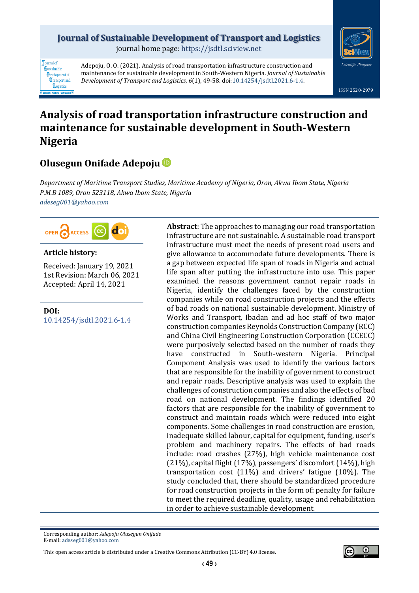## **Journal of Sustainable Development of Transport and Logistics**

journal home page: [https://jsdtl.sciview.net](https://jsdtl.sciview.net/)



**Tournal** of Sustainable **D**evelopment of **Transport** and Logistics

Adepoju, O. O. (2021). Analysis of road transportation infrastructure construction and maintenance for sustainable development in South-Western Nigeria. *Journal of Sustainable Development of Transport and Logistics, 6*(1), 49-58. doi[:10.14254/jsdtl.2021.6-1.4.](https://doi.org/10.14254/jsdtl.2021.6-1.4)

# **Analysis of road transportation infrastructure construction and maintenance for sustainable development in South-Western Nigeria**

## **Olusegun Onifade Adepoju**

*Department of Maritime Transport Studies, Maritime Academy of Nigeria, Oron, Akwa Ibom State, Nigeria P.M.B 1089, Oron 523118, Akwa Ibom State, Nigeria [adeseg001@yahoo.com](mailto:adeseg001@yahoo.com)*



## **Article history:**

Received: January 19, 2021 1st Revision: March 06, 2021 Accepted: April 14, 2021

**DOI:** [10.14254/jsdtl.2021.6-1.4](https://doi.org/10.14254/jsdtl.2021.6-1.4) **Abstract**: The approaches to managing our road transportation infrastructure are not sustainable. A sustainable road transport infrastructure must meet the needs of present road users and give allowance to accommodate future developments. There is a gap between expected life span of roads in Nigeria and actual life span after putting the infrastructure into use. This paper examined the reasons government cannot repair roads in Nigeria, identify the challenges faced by the construction companies while on road construction projects and the effects of bad roads on national sustainable development. Ministry of Works and Transport, Ibadan and ad hoc staff of two major construction companies Reynolds Construction Company (RCC) and China Civil Engineering Construction Corporation (CCECC) were purposively selected based on the number of roads they have constructed in South-western Nigeria. Principal Component Analysis was used to identify the various factors that are responsible for the inability of government to construct and repair roads. Descriptive analysis was used to explain the challenges of construction companies and also the effects of bad road on national development. The findings identified 20 factors that are responsible for the inability of government to construct and maintain roads which were reduced into eight components. Some challenges in road construction are erosion, inadequate skilled labour, capital for equipment, funding, user's problem and machinery repairs. The effects of bad roads include: road crashes (27%), high vehicle maintenance cost (21%), capital flight (17%), passengers' discomfort (14%), high transportation cost (11%) and drivers' fatigue (10%). The study concluded that, there should be standardized procedure for road construction projects in the form of: penalty for failure to meet the required deadline, quality, usage and rehabilitation in order to achieve sustainable development.

Corresponding author: *Adepoju Olusegun Onifade* E-mail[: adeseg001@yahoo.com](mailto:adeseg001@yahoo.com)

This open access article is distributed under [a Creative Commons Attribution \(CC-BY\) 4.0 license.](http://creativecommons.org/licenses/by/4.0/)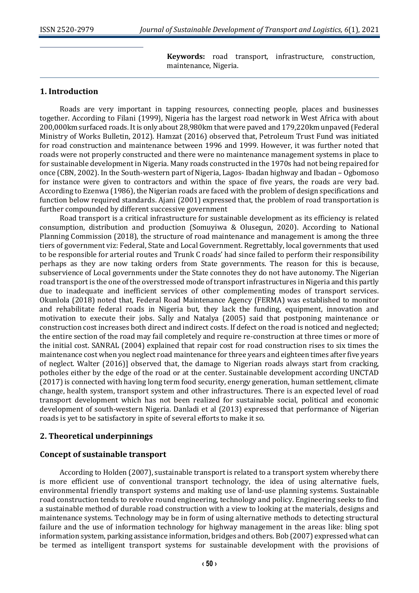**Keywords:** road transport, infrastructure, construction, maintenance, Nigeria.

## **1. Introduction**

Roads are very important in tapping resources, connecting people, places and businesses together. According to Filani (1999), Nigeria has the largest road network in West Africa with about 200,000km surfaced roads. It is only about 28,980km that were paved and 179,220km unpaved (Federal Ministry of Works Bulletin, 2012). Hamzat (2016) observed that, Petroleum Trust Fund was initiated for road construction and maintenance between 1996 and 1999. However, it was further noted that roads were not properly constructed and there were no maintenance management systems in place to for sustainable development in Nigeria. Many roads constructed in the 1970s had not being repaired for once (CBN, 2002). In the South-western part of Nigeria, Lagos- Ibadan highway and Ibadan – Ogbomoso for instance were given to contractors and within the space of five years, the roads are very bad. According to Ezenwa (1986), the Nigerian roads are faced with the problem of design specifications and function below required standards. Ajani (2001) expressed that, the problem of road transportation is further compounded by different successive government

Road transport is a critical infrastructure for sustainable development as its efficiency is related consumption, distribution and production (Somuyiwa & Olusegun, 2020). According to National Planning Commission (2018), the structure of road maintenance and management is among the three tiers of government viz: Federal, State and Local Government. Regrettably, local governments that used to be responsible for arterial routes and Trunk C roads' had since failed to perform their responsibility perhaps as they are now taking orders from State governments. The reason for this is because, subservience of Local governments under the State connotes they do not have autonomy. The Nigerian road transport is the one of the overstressed mode of transport infrastructures in Nigeria and this partly due to inadequate and inefficient services of other complementing modes of transport services. Okunlola (2018) noted that, Federal Road Maintenance Agency (FERMA) was established to monitor and rehabilitate federal roads in Nigeria but, they lack the funding, equipment, innovation and motivation to execute their jobs. Sally and Natalya (2005) said that postponing maintenance or construction cost increases both direct and indirect costs. If defect on the road is noticed and neglected; the entire section of the road may fail completely and require re-construction at three times or more of the initial cost. SANRAL (2004) explained that repair cost for road construction rises to six times the maintenance cost when you neglect road maintenance for three years and eighteen times after five years of neglect. Walter (2016)] observed that, the damage to Nigerian roads always start from cracking, potholes either by the edge of the road or at the center. Sustainable development according UNCTAD (2017) is connected with having long term food security, energy generation, human settlement, climate change, health system, transport system and other infrastructures. There is an expected level of road transport development which has not been realized for sustainable social, political and economic development of south-western Nigeria. Danladi et al (2013) expressed that performance of Nigerian roads is yet to be satisfactory in spite of several efforts to make it so.

## **2. Theoretical underpinnings**

## **Concept of sustainable transport**

According to Holden (2007), sustainable transport is related to a transport system whereby there is more efficient use of conventional transport technology, the idea of using alternative fuels, environmental friendly transport systems and making use of land-use planning systems. Sustainable road construction tends to revolve round engineering, technology and policy. Engineering seeks to find a sustainable method of durable road construction with a view to looking at the materials, designs and maintenance systems. Technology may be in form of using alternative methods to detecting structural failure and the use of information technology for highway management in the areas like: bling spot information system, parking assistance information, bridges and others. Bob (2007) expressed what can be termed as intelligent transport systems for sustainable development with the provisions of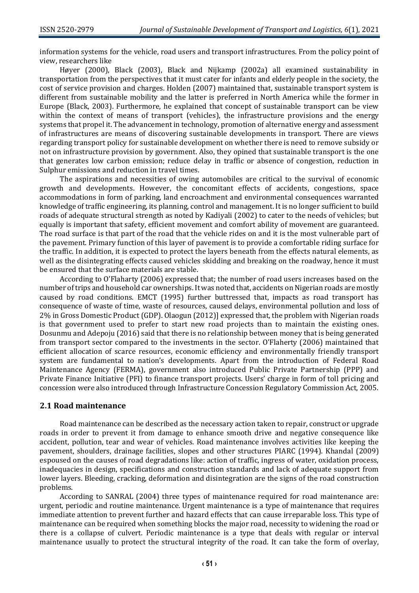information systems for the vehicle, road users and transport infrastructures. From the policy point of view, researchers like

Høyer (2000), Black (2003), Black and Nijkamp (2002a) all examined sustainability in transportation from the perspectives that it must cater for infants and elderly people in the society, the cost of service provision and charges. Holden (2007) maintained that, sustainable transport system is different from sustainable mobility and the latter is preferred in North America while the former in Europe (Black, 2003). Furthermore, he explained that concept of sustainable transport can be view within the context of means of transport (vehicles), the infrastructure provisions and the energy systems that propel it. The advancement in technology, promotion of alternative energy and assessment of infrastructures are means of discovering sustainable developments in transport. There are views regarding transport policy for sustainable development on whether there is need to remove subsidy or not on infrastructure provision by government. Also, they opined that sustainable transport is the one that generates low carbon emission; reduce delay in traffic or absence of congestion, reduction in Sulphur emissions and reduction in travel times.

The aspirations and necessities of owing automobiles are critical to the survival of economic growth and developments. However, the concomitant effects of accidents, congestions, space accommodations in form of parking, land encroachment and environmental consequences warranted knowledge of traffic engineering, its planning, control and management. It is no longer sufficient to build roads of adequate structural strength as noted by Kadiyali (2002) to cater to the needs of vehicles; but equally is important that safety, efficient movement and comfort ability of movement are guaranteed. The road surface is that part of the road that the vehicle rides on and it is the most vulnerable part of the pavement. Primary function of this layer of pavement is to provide a comfortable riding surface for the traffic. In addition, it is expected to protect the layers beneath from the effects natural elements, as well as the disintegrating effects caused vehicles skidding and breaking on the roadway, hence it must be ensured that the surface materials are stable.

According to O'Flaharty (2006) expressed that; the number of road users increases based on the number of trips and household car ownerships. It was noted that, accidents on Nigerian roads are mostly caused by road conditions. EMCT (1995) further buttressed that, impacts as road transport has consequence of waste of time, waste of resources, caused delays, environmental pollution and loss of 2% in Gross Domestic Product (GDP). Olaogun (2012)] expressed that, the problem with Nigerian roads is that government used to prefer to start new road projects than to maintain the existing ones. Dosunmu and Adepoju (2016) said that there is no relationship between money that is being generated from transport sector compared to the investments in the sector. O'Flaherty (2006) maintained that efficient allocation of scarce resources, economic efficiency and environmentally friendly transport system are fundamental to nation's developments. Apart from the introduction of Federal Road Maintenance Agency (FERMA), government also introduced Public Private Partnership (PPP) and Private Finance Initiative (PFI) to finance transport projects. Users' charge in form of toll pricing and concession were also introduced through Infrastructure Concession Regulatory Commission Act, 2005.

### **2.1 Road maintenance**

Road maintenance can be described as the necessary action taken to repair, construct or upgrade roads in order to prevent it from damage to enhance smooth drive and negative consequence like accident, pollution, tear and wear of vehicles. Road maintenance involves activities like keeping the pavement, shoulders, drainage facilities, slopes and other structures PIARC (1994). Khandal (2009) espoused on the causes of road degradations like: action of traffic, ingress of water, oxidation process, inadequacies in design, specifications and construction standards and lack of adequate support from lower layers. Bleeding, cracking, deformation and disintegration are the signs of the road construction problems.

According to SANRAL (2004) three types of maintenance required for road maintenance are: urgent, periodic and routine maintenance. Urgent maintenance is a type of maintenance that requires immediate attention to prevent further and hazard effects that can cause irreparable loss. This type of maintenance can be required when something blocks the major road, necessity to widening the road or there is a collapse of culvert. Periodic maintenance is a type that deals with regular or interval maintenance usually to protect the structural integrity of the road. It can take the form of overlay,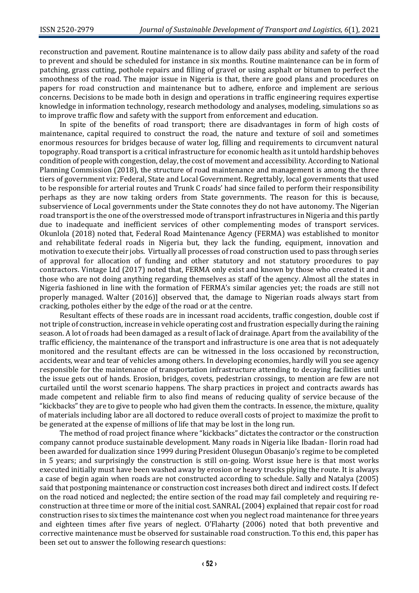reconstruction and pavement. Routine maintenance is to allow daily pass ability and safety of the road to prevent and should be scheduled for instance in six months. Routine maintenance can be in form of patching, grass cutting, pothole repairs and filling of gravel or using asphalt or bitumen to perfect the smoothness of the road. The major issue in Nigeria is that, there are good plans and procedures on papers for road construction and maintenance but to adhere, enforce and implement are serious concerns. Decisions to be made both in design and operations in traffic engineering requires expertise knowledge in information technology, research methodology and analyses, modeling, simulations so as to improve traffic flow and safety with the support from enforcement and education.

In spite of the benefits of road transport; there are disadvantages in form of high costs of maintenance, capital required to construct the road, the nature and texture of soil and sometimes enormous resources for bridges because of water log, filling and requirements to circumvent natural topography. Road transport is a critical infrastructure for economic health as it untold hardship behoves condition of people with congestion, delay, the cost of movement and accessibility. According to National Planning Commission (2018), the structure of road maintenance and management is among the three tiers of government viz: Federal, State and Local Government. Regrettably, local governments that used to be responsible for arterial routes and Trunk C roads' had since failed to perform their responsibility perhaps as they are now taking orders from State governments. The reason for this is because, subservience of Local governments under the State connotes they do not have autonomy. The Nigerian road transport is the one of the overstressed mode of transport infrastructures in Nigeria and this partly due to inadequate and inefficient services of other complementing modes of transport services. Okunlola (2018) noted that, Federal Road Maintenance Agency (FERMA) was established to monitor and rehabilitate federal roads in Nigeria but, they lack the funding, equipment, innovation and motivation to execute their jobs. Virtually all processes of road construction used to pass through series of approval for allocation of funding and other statutory and not statutory procedures to pay contractors. Vintage Ltd (2017) noted that, FERMA only exist and known by those who created it and those who are not doing anything regarding themselves as staff of the agency. Almost all the states in Nigeria fashioned in line with the formation of FERMA's similar agencies yet; the roads are still not properly managed. Walter (2016)] observed that, the damage to Nigerian roads always start from cracking, potholes either by the edge of the road or at the centre.

Resultant effects of these roads are in incessant road accidents, traffic congestion, double cost if not triple of construction, increase in vehicle operating cost and frustration especially during the raining season. A lot of roads had been damaged as a result of lack of drainage. Apart from the availability of the traffic efficiency, the maintenance of the transport and infrastructure is one area that is not adequately monitored and the resultant effects are can be witnessed in the loss occasioned by reconstruction, accidents, wear and tear of vehicles among others. In developing economies, hardly will you see agency responsible for the maintenance of transportation infrastructure attending to decaying facilities until the issue gets out of hands. Erosion, bridges, covets, pedestrian crossings, to mention are few are not curtailed until the worst scenario happens. The sharp practices in project and contracts awards has made competent and reliable firm to also find means of reducing quality of service because of the "kickbacks" they are to give to people who had given them the contracts. In essence, the mixture, quality of materials including labor are all doctored to reduce overall costs of project to maximize the profit to be generated at the expense of millions of life that may be lost in the long run.

The method of road project finance where "kickbacks" dictates the contractor or the construction company cannot produce sustainable development. Many roads in Nigeria like Ibadan- Ilorin road had been awarded for dualization since 1999 during President Olusegun Obasanjo's regime to be completed in 5 years; and surprisingly the construction is still on-going. Worst issue here is that most works executed initially must have been washed away by erosion or heavy trucks plying the route. It is always a case of begin again when roads are not constructed according to schedule. Sally and Natalya (2005) said that postponing maintenance or construction cost increases both direct and indirect costs. If defect on the road noticed and neglected; the entire section of the road may fail completely and requiring reconstruction at three time or more of the initial cost. SANRAL (2004) explained that repair cost for road construction rises to six times the maintenance cost when you neglect road maintenance for three years and eighteen times after five years of neglect. O'Flaharty (2006) noted that both preventive and corrective maintenance must be observed for sustainable road construction. To this end, this paper has been set out to answer the following research questions: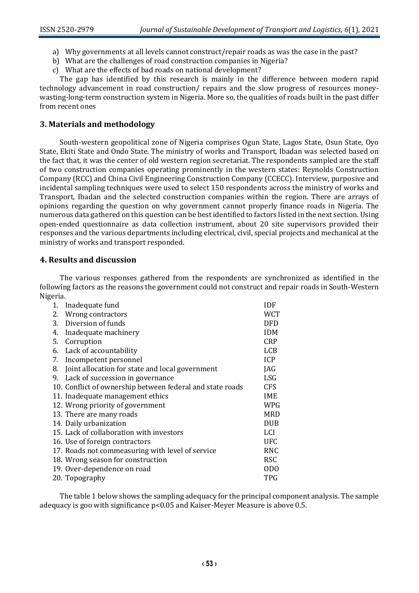- a) Why governments at all levels cannot construct/repair roads as was the case in the past?
- b) What are the challenges of road construction companies in Nigeria?
- c) What are the effects of bad roads on national development?

The gap has identified by this research is mainly in the difference between modern rapid technology advancement in road construction/ repairs and the slow progress of resources moneywasting-long-term construction system in Nigeria. More so, the qualities of roads built in the past differ from recent ones

## **3. Materials and methodology**

South-western geopolitical zone of Nigeria comprises Ogun State, Lagos State, Osun State, Oyo State, Ekiti State and Ondo State. The ministry of works and Transport, Ibadan was selected based on the fact that, it was the center of old western region secretariat. The respondents sampled are the staff of two construction companies operating prominently in the western states: Reynolds Construction Company (RCC) and China Civil Engineering Construction Company (CCECC). Interview, purposive and incidental sampling techniques were used to select 150 respondents across the ministry of works and Transport, Ibadan and the selected construction companies within the region. There are arrays of opinions regarding the question on why government cannot properly finance roads in Nigeria. The numerous data gathered on this question can be best identified to factors listed in the next section. Using open-ended questionnaire as data collection instrument, about 20 site supervisors provided their responses and the various departments including electrical, civil, special projects and mechanical at the ministry of works and transport responded.

## **4. Results and discussion**

The various responses gathered from the respondents are synchronized as identified in the following factors as the reasons the government could not construct and repair roads in South-Western Nigeria.

| Inadequate fund<br>1.                                     | IDF            |
|-----------------------------------------------------------|----------------|
| Wrong contractors<br>2.                                   | <b>WCT</b>     |
| Diversion of funds<br>3.                                  | <b>DFD</b>     |
| Inadequate machinery<br>4.                                | <b>IDM</b>     |
| 5.<br>Corruption                                          | <b>CRP</b>     |
| Lack of accountability<br>6.                              | <b>LCB</b>     |
| Incompetent personnel<br>7.                               | <b>ICP</b>     |
| Joint allocation for state and local government<br>8.     | JAG            |
| Lack of succession in governance<br>9.                    | LSG            |
| 10. Conflict of ownership between federal and state roads | <b>CFS</b>     |
| 11. Inadequate management ethics                          | IME            |
| 12. Wrong priority of government                          | <b>WPG</b>     |
| 13. There are many roads                                  | <b>MRD</b>     |
| 14. Daily urbanization                                    | <b>DUB</b>     |
| 15. Lack of collaboration with investors                  | <b>LCI</b>     |
| 16. Use of foreign contractors                            | <b>UFC</b>     |
| 17. Roads not commeasuring with level of service          | <b>RNC</b>     |
| 18. Wrong season for construction                         | <b>RSC</b>     |
| 19. Over-dependence on road                               | 0 <sub>D</sub> |
| 20. Topography                                            | TPG            |

The table 1 below shows the sampling adequacy for the principal component analysis. The sample adequacy is goo with significance  $p<0.05$  and Kaiser-Meyer Measure is above 0.5.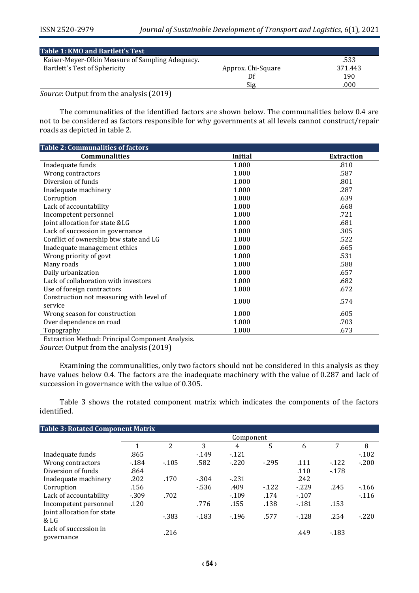| Table 1: KMO and Bartlett's Test                 |                    |         |
|--------------------------------------------------|--------------------|---------|
| Kaiser-Meyer-Olkin Measure of Sampling Adequacy. |                    | .533    |
| Bartlett's Test of Sphericity                    | Approx. Chi-Square | 371.443 |
|                                                  |                    | 190     |
|                                                  | Sig.               | .000    |

*Source*: Output from the analysis (2019)

The communalities of the identified factors are shown below. The communalities below 0.4 are not to be considered as factors responsible for why governments at all levels cannot construct/repair roads as depicted in table 2.

| <b>Table 2: Communalities of factors</b> |                |                   |
|------------------------------------------|----------------|-------------------|
| <b>Communalities</b>                     | <b>Initial</b> | <b>Extraction</b> |
| Inadequate funds                         | 1.000          | .810              |
| Wrong contractors                        | 1.000          | .587              |
| Diversion of funds                       | 1.000          | .801              |
| Inadequate machinery                     | 1.000          | .287              |
| Corruption                               | 1.000          | .639              |
| Lack of accountability                   | 1.000          | .668              |
| Incompetent personnel                    | 1.000          | .721              |
| Joint allocation for state &LG           | 1.000          | .681              |
| Lack of succession in governance         | 1.000          | .305              |
| Conflict of ownership btw state and LG   | 1.000          | .522              |
| Inadequate management ethics             | 1.000          | .665              |
| Wrong priority of govt                   | 1.000          | .531              |
| Many roads                               | 1.000          | .588              |
| Daily urbanization                       | 1.000          | .657              |
| Lack of collaboration with investors     | 1.000          | .682              |
| Use of foreign contractors               | 1.000          | .672              |
| Construction not measuring with level of | 1.000          | .574              |
| service                                  |                |                   |
| Wrong season for construction            | 1.000          | .605              |
| Over dependence on road                  | 1.000          | .703              |
| Topography<br>.                          | 1.000          | .673              |

Extraction Method: Principal Component Analysis.

*Source*: Output from the analysis (2019)

Examining the communalities, only two factors should not be considered in this analysis as they have values below 0.4. The factors are the inadequate machinery with the value of 0.287 and lack of succession in governance with the value of 0.305.

Table 3 shows the rotated component matrix which indicates the components of the factors identified.

| <b>Table 3: Rotated Component Matrix</b> |           |        |        |        |        |        |        |         |
|------------------------------------------|-----------|--------|--------|--------|--------|--------|--------|---------|
|                                          | Component |        |        |        |        |        |        |         |
|                                          |           | 2      | 3      | 4      | 5      | 6      | 7      | 8       |
| Inadequate funds                         | .865      |        | $-149$ | $-121$ |        |        |        | $-102$  |
| Wrong contractors                        | $-184$    | $-105$ | .582   | $-220$ | $-295$ | .111   | $-122$ | $-.200$ |
| Diversion of funds                       | .864      |        |        |        |        | .110   | $-178$ |         |
| Inadequate machinery                     | .202      | .170   | $-304$ | $-231$ |        | .242   |        |         |
| Corruption                               | .156      |        | $-536$ | .409   | $-122$ | $-229$ | .245   | $-166$  |
| Lack of accountability                   | $-309$    | .702   |        | $-109$ | .174   | $-107$ |        | $-116$  |
| Incompetent personnel                    | .120      |        | .776   | .155   | .138   | $-181$ | .153   |         |
| Joint allocation for state<br>& LG       |           | $-383$ | $-183$ | $-196$ | .577   | $-128$ | .254   | $-.220$ |
| Lack of succession in<br>governance      |           | .216   |        |        |        | .449   | $-183$ |         |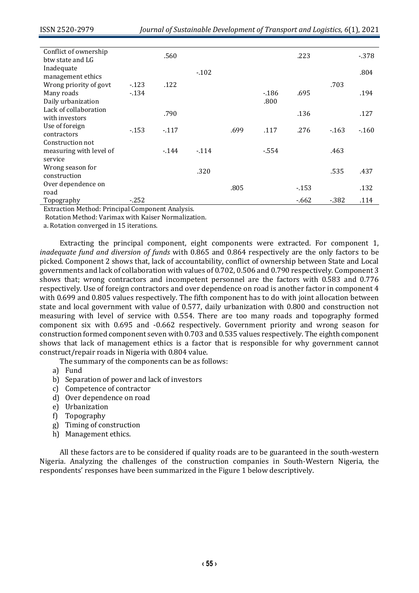| Conflict of ownership<br>btw state and LG   |        | .560   |        |      |        | .223   |        | $-378$ |
|---------------------------------------------|--------|--------|--------|------|--------|--------|--------|--------|
| Inadequate<br>management ethics             |        |        | $-102$ |      |        |        |        | .804   |
| Wrong priority of govt                      | $-123$ | .122   |        |      |        |        | .703   |        |
| Many roads                                  | $-134$ |        |        |      | $-186$ | .695   |        | .194   |
| Daily urbanization<br>Lack of collaboration |        |        |        |      | .800   |        |        |        |
| with investors                              |        | .790   |        |      |        | .136   |        | .127   |
| Use of foreign<br>contractors               | $-153$ | $-117$ |        | .699 | .117   | .276   | $-163$ | $-160$ |
| Construction not                            |        |        |        |      |        |        |        |        |
| measuring with level of<br>service          |        | $-144$ | $-114$ |      | $-554$ |        | .463   |        |
| Wrong season for<br>construction            |        |        | .320   |      |        |        | .535   | .437   |
| Over dependence on<br>road                  |        |        |        | .805 |        | $-153$ |        | .132   |
| Topography                                  | $-252$ |        |        |      |        | $-662$ | - 382  | .114   |

Extraction Method: Principal Component Analysis.

Rotation Method: Varimax with Kaiser Normalization.

a. Rotation converged in 15 iterations.

Extracting the principal component, eight components were extracted. For component 1, *inadequate fund and diversion of funds* with 0.865 and 0.864 respectively are the only factors to be picked. Component 2 shows that, lack of accountability, conflict of ownership between State and Local governments and lack of collaboration with values of 0.702, 0.506 and 0.790 respectively. Component 3 shows that; wrong contractors and incompetent personnel are the factors with 0.583 and 0.776 respectively. Use of foreign contractors and over dependence on road is another factor in component 4 with 0.699 and 0.805 values respectively. The fifth component has to do with joint allocation between state and local government with value of 0.577, daily urbanization with 0.800 and construction not measuring with level of service with 0.554. There are too many roads and topography formed component six with 0.695 and -0.662 respectively. Government priority and wrong season for construction formed component seven with 0.703 and 0.535 values respectively. The eighth component shows that lack of management ethics is a factor that is responsible for why government cannot construct/repair roads in Nigeria with 0.804 value.

The summary of the components can be as follows:

- a) Fund
- b) Separation of power and lack of investors
- c) Competence of contractor
- d) Over dependence on road
- e) Urbanization
- f) Topography
- g) Timing of construction
- h) Management ethics.

All these factors are to be considered if quality roads are to be guaranteed in the south-western Nigeria. Analyzing the challenges of the construction companies in South-Western Nigeria, the respondents' responses have been summarized in the Figure 1 below descriptively.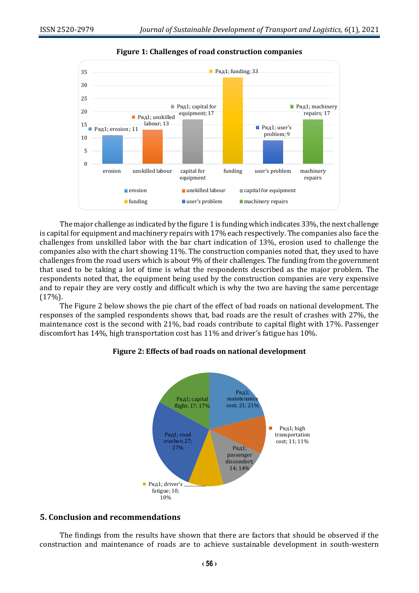

**Figure 1: Challenges of road construction companies**

The major challenge as indicated by the figure 1 is funding which indicates 33%, the next challenge is capital for equipment and machinery repairs with 17% each respectively. The companies also face the challenges from unskilled labor with the bar chart indication of 13%, erosion used to challenge the companies also with the chart showing 11%. The construction companies noted that, they used to have challenges from the road users which is about 9% of their challenges. The funding from the government that used to be taking a lot of time is what the respondents described as the major problem. The respondents noted that, the equipment being used by the construction companies are very expensive and to repair they are very costly and difficult which is why the two are having the same percentage (17%).

The Figure 2 below shows the pie chart of the effect of bad roads on national development. The responses of the sampled respondents shows that, bad roads are the result of crashes with 27%, the maintenance cost is the second with 21%, bad roads contribute to capital flight with 17%. Passenger discomfort has 14%, high transportation cost has 11% and driver's fatigue has 10%.

#### Ряд1; maintenance Ряд1; capital flight; 17; 17%cost; 21; 21% П Ряд1; high Ряд1; road transportation crashes; 27; cost; 11; 11% 27% Ряд1;

passenger discomfort; 14; 14%

## **Figure 2: Effects of bad roads on national development**



■ Ряд1; driver's fatigue; 10; 10%

The findings from the results have shown that there are factors that should be observed if the construction and maintenance of roads are to achieve sustainable development in south-western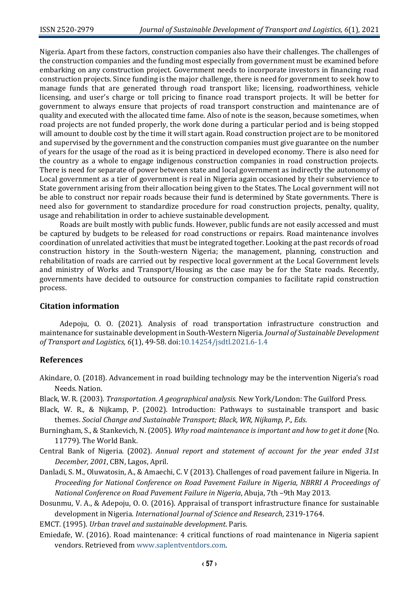Nigeria. Apart from these factors, construction companies also have their challenges. The challenges of the construction companies and the funding most especially from government must be examined before embarking on any construction project. Government needs to incorporate investors in financing road construction projects. Since funding is the major challenge, there is need for government to seek how to manage funds that are generated through road transport like; licensing, roadworthiness, vehicle licensing, and user's charge or toll pricing to finance road transport projects. It will be better for government to always ensure that projects of road transport construction and maintenance are of quality and executed with the allocated time fame. Also of note is the season, because sometimes, when road projects are not funded properly, the work done during a particular period and is being stopped will amount to double cost by the time it will start again. Road construction project are to be monitored and supervised by the government and the construction companies must give guarantee on the number of years for the usage of the road as it is being practiced in developed economy. There is also need for the country as a whole to engage indigenous construction companies in road construction projects. There is need for separate of power between state and local government as indirectly the autonomy of Local government as a tier of government is real in Nigeria again occasioned by their subservience to State government arising from their allocation being given to the States. The Local government will not be able to construct nor repair roads because their fund is determined by State governments. There is need also for government to standardize procedure for road construction projects, penalty, quality, usage and rehabilitation in order to achieve sustainable development.

Roads are built mostly with public funds. However, public funds are not easily accessed and must be captured by budgets to be released for road constructions or repairs. Road maintenance involves coordination of unrelated activities that must be integrated together. Looking at the past records of road construction history in the South-western Nigeria; the management, planning, construction and rehabilitation of roads are carried out by respective local government at the Local Government levels and ministry of Works and Transport/Housing as the case may be for the State roads. Recently, governments have decided to outsource for construction companies to facilitate rapid construction process.

## **Citation information**

Adepoju, O. O. (2021). Analysis of road transportation infrastructure construction and maintenance for sustainable development in South-Western Nigeria. *Journal of Sustainable Development of Transport and Logistics, 6*(1), 49-58. doi[:10.14254/jsdtl.2021.6-1.4](https://doi.org/10.14254/jsdtl.2021.6-1.4)

## **References**

- Akindare, O. (2018). Advancement in road building technology may be the intervention Nigeria's road Needs. Nation.
- Black, W. R. (2003). *Transportation. A geographical analysis.* New York/London: The Guilford Press.
- Black, W. R., & Nijkamp, P. (2002). Introduction: Pathways to sustainable transport and basic themes. *Social Change and Sustainable Transport; Black, WR, Nijkamp, P., Eds*.
- Burningham, S., & Stankevich, N. (2005). *Why road maintenance is important and how to get it done* (No. 11779). The World Bank.
- Central Bank of Nigeria. (2002). *Annual report and statement of account for the year ended 31st December, 2001*, CBN, Lagos, April.
- Danladi, S. M., Oluwatosin, A., & Amaechi, C. V (2013). Challenges of road pavement failure in Nigeria. In *Proceeding for National Conference on Road Pavement Failure in Nigeria, NBRRI A Proceedings of National Conference on Road Pavement Failure in Nigeria*, Abuja, 7th –9th May 2013.
- Dosunmu, V. A., & Adepoju, O. O. (2016). Appraisal of transport infrastructure finance for sustainable development in Nigeria. *International Journal of Science and Research*, 2319-1764.
- EMCT. (1995). *Urban travel and sustainable development*. Paris.
- Emiedafe, W. (2016). Road maintenance: 4 critical functions of road maintenance in Nigeria sapient vendors. Retrieved fro[m www.saplentventdors.com.](http://www.saplentventdors.com/)